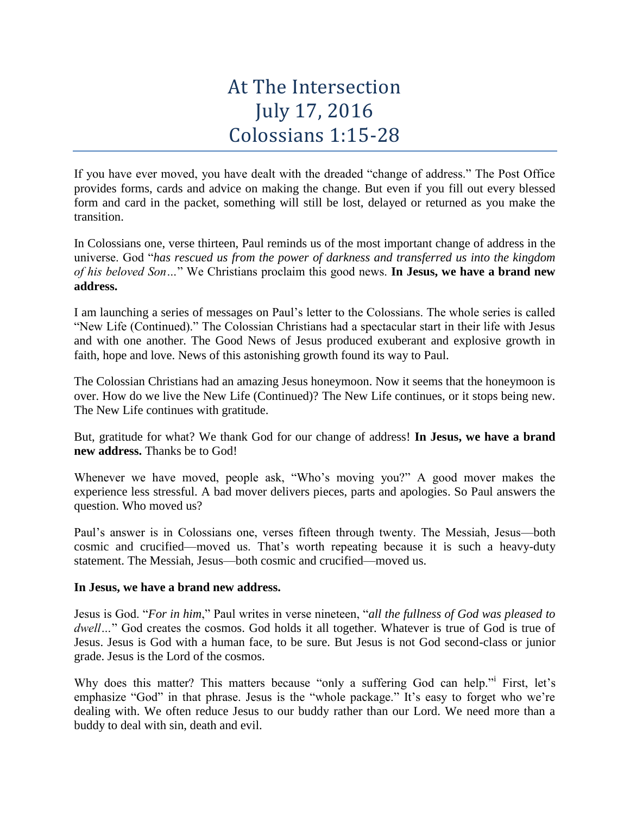## At The Intersection July 17, 2016 Colossians 1:15-28

If you have ever moved, you have dealt with the dreaded "change of address." The Post Office provides forms, cards and advice on making the change. But even if you fill out every blessed form and card in the packet, something will still be lost, delayed or returned as you make the transition.

In Colossians one, verse thirteen, Paul reminds us of the most important change of address in the universe. God "*has rescued us from the power of darkness and transferred us into the kingdom of his beloved Son…*" We Christians proclaim this good news. **In Jesus, we have a brand new address.**

I am launching a series of messages on Paul's letter to the Colossians. The whole series is called "New Life (Continued)." The Colossian Christians had a spectacular start in their life with Jesus and with one another. The Good News of Jesus produced exuberant and explosive growth in faith, hope and love. News of this astonishing growth found its way to Paul.

The Colossian Christians had an amazing Jesus honeymoon. Now it seems that the honeymoon is over. How do we live the New Life (Continued)? The New Life continues, or it stops being new. The New Life continues with gratitude.

But, gratitude for what? We thank God for our change of address! **In Jesus, we have a brand new address.** Thanks be to God!

Whenever we have moved, people ask, "Who's moving you?" A good mover makes the experience less stressful. A bad mover delivers pieces, parts and apologies. So Paul answers the question. Who moved us?

Paul's answer is in Colossians one, verses fifteen through twenty. The Messiah, Jesus—both cosmic and crucified—moved us. That's worth repeating because it is such a heavy-duty statement. The Messiah, Jesus—both cosmic and crucified—moved us.

## **In Jesus, we have a brand new address.**

Jesus is God. "*For in him*," Paul writes in verse nineteen, "*all the fullness of God was pleased to dwell…*" God creates the cosmos. God holds it all together. Whatever is true of God is true of Jesus. Jesus is God with a human face, to be sure. But Jesus is not God second-class or junior grade. Jesus is the Lord of the cosmos.

Why does this matter? This matters because "only a suffering God can help." First, let's emphasize "God" in that phrase. Jesus is the "whole package." It's easy to forget who we're dealing with. We often reduce Jesus to our buddy rather than our Lord. We need more than a buddy to deal with sin, death and evil.